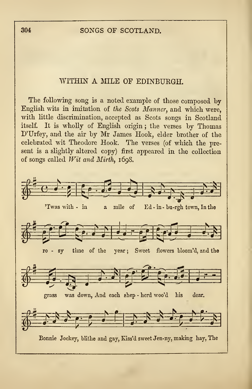## WITHIN A MILE OF EDINBURGH.

The following song is a noted example of those composed by English wits in imitation of the Scots Manner, and which were, with little discrimination, accepted as Scots songs in Scotland itself. It is wholly of English origin ; the verses by Thomas D'Urfey, and the air by Mr James Hook, elder brother of the celebrated wit Theodore Hook. The verses (of which the present is a slightly altered copy) first appeared in the collection of songs called Wit and Mirth, 1698.